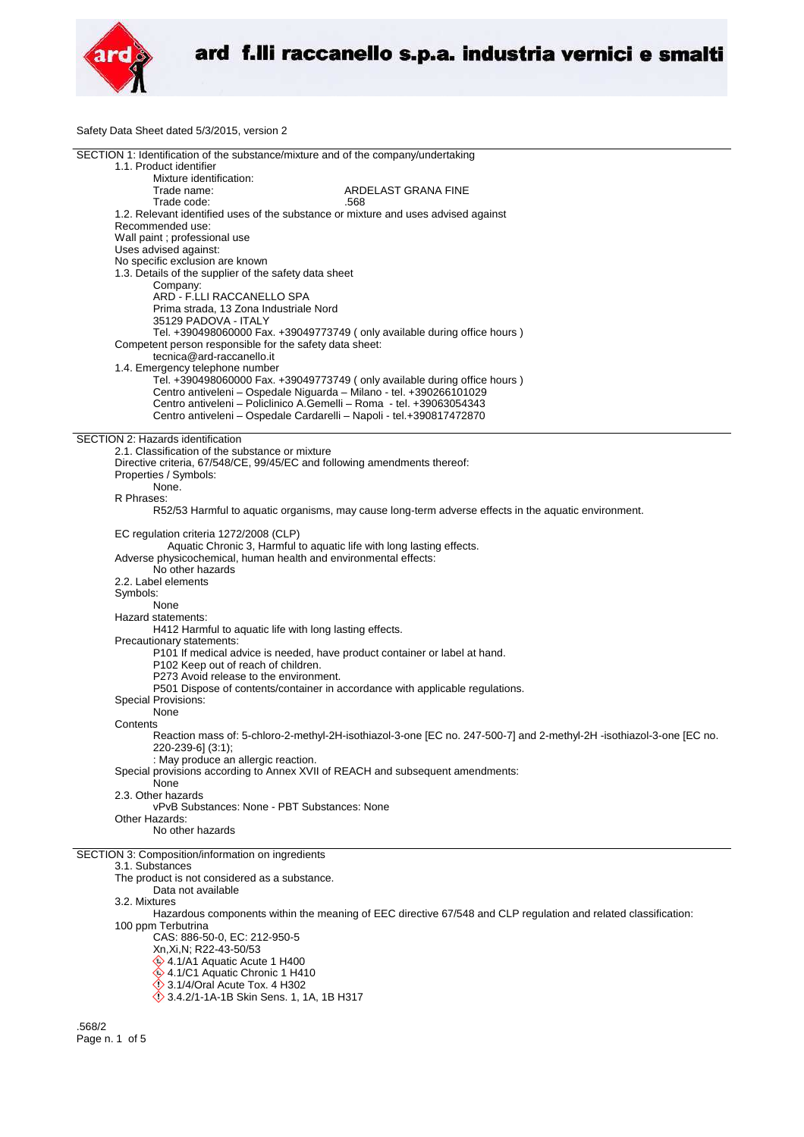

Safety Data Sheet dated 5/3/2015, version 2

| SECTION 1: Identification of the substance/mixture and of the company/undertaking                                    |
|----------------------------------------------------------------------------------------------------------------------|
| 1.1. Product identifier                                                                                              |
| Mixture identification:                                                                                              |
| Trade name:<br>ARDELAST GRANA FINE                                                                                   |
| Trade code:<br>.568                                                                                                  |
| 1.2. Relevant identified uses of the substance or mixture and uses advised against                                   |
| Recommended use:                                                                                                     |
| Wall paint ; professional use                                                                                        |
| Uses advised against:                                                                                                |
| No specific exclusion are known                                                                                      |
| 1.3. Details of the supplier of the safety data sheet                                                                |
| Company:                                                                                                             |
| ARD - F.LLI RACCANELLO SPA                                                                                           |
| Prima strada, 13 Zona Industriale Nord                                                                               |
| 35129 PADOVA - ITALY                                                                                                 |
| Tel. +390498060000 Fax. +39049773749 ( only available during office hours )                                          |
| Competent person responsible for the safety data sheet:                                                              |
| tecnica@ard-raccanello.it                                                                                            |
| 1.4. Emergency telephone number                                                                                      |
| Tel. +390498060000 Fax. +39049773749 (only available during office hours)                                            |
| Centro antiveleni - Ospedale Niguarda - Milano - tel. +390266101029                                                  |
| Centro antiveleni – Policlinico A.Gemelli – Roma - tel. +39063054343                                                 |
| Centro antiveleni - Ospedale Cardarelli - Napoli - tel.+390817472870                                                 |
|                                                                                                                      |
| <b>SECTION 2: Hazards identification</b>                                                                             |
| 2.1. Classification of the substance or mixture                                                                      |
| Directive criteria, 67/548/CE, 99/45/EC and following amendments thereof:                                            |
| Properties / Symbols:                                                                                                |
| None.                                                                                                                |
| R Phrases:                                                                                                           |
| R52/53 Harmful to aquatic organisms, may cause long-term adverse effects in the aquatic environment.                 |
|                                                                                                                      |
| EC regulation criteria 1272/2008 (CLP)                                                                               |
| Aquatic Chronic 3, Harmful to aquatic life with long lasting effects.                                                |
| Adverse physicochemical, human health and environmental effects:                                                     |
| No other hazards                                                                                                     |
| 2.2. Label elements                                                                                                  |
| Symbols:                                                                                                             |
| None                                                                                                                 |
| Hazard statements:                                                                                                   |
| H412 Harmful to aquatic life with long lasting effects.                                                              |
| Precautionary statements:                                                                                            |
| P101 If medical advice is needed, have product container or label at hand.                                           |
| P102 Keep out of reach of children.                                                                                  |
| P273 Avoid release to the environment.                                                                               |
| P501 Dispose of contents/container in accordance with applicable regulations.                                        |
| Special Provisions:                                                                                                  |
| None                                                                                                                 |
| Contents                                                                                                             |
| Reaction mass of: 5-chloro-2-methyl-2H-isothiazol-3-one [EC no. 247-500-7] and 2-methyl-2H -isothiazol-3-one [EC no. |
| 220-239-6] (3:1);                                                                                                    |
| : May produce an allergic reaction.                                                                                  |
| Special provisions according to Annex XVII of REACH and subsequent amendments:<br>None                               |
| 2.3. Other hazards                                                                                                   |
| vPvB Substances: None - PBT Substances: None                                                                         |
| Other Hazards:                                                                                                       |
| No other hazards                                                                                                     |
|                                                                                                                      |
| SECTION 3: Composition/information on ingredients                                                                    |
| 3.1. Substances                                                                                                      |
| The product is not considered as a substance.                                                                        |
| Data not available                                                                                                   |
| 3.2. Mixtures                                                                                                        |
| Hazardous components within the meaning of EEC directive 67/548 and CLP regulation and related classification:       |
| 100 ppm Terbutrina                                                                                                   |
| CAS: 886-50-0, EC: 212-950-5                                                                                         |
| Xn, Xi, N; R22-43-50/53                                                                                              |
| 4.1/A1 Aquatic Acute 1 H400                                                                                          |
| 4.1/C1 Aquatic Chronic 1 H410                                                                                        |
| <b>◯ 3.1/4/Oral Acute Tox. 4 H302</b>                                                                                |
| 3.4.2/1-1A-1B Skin Sens. 1, 1A, 1B H317                                                                              |
|                                                                                                                      |
| <b>EGQ12</b>                                                                                                         |

.568/2 Page n. 1 of 5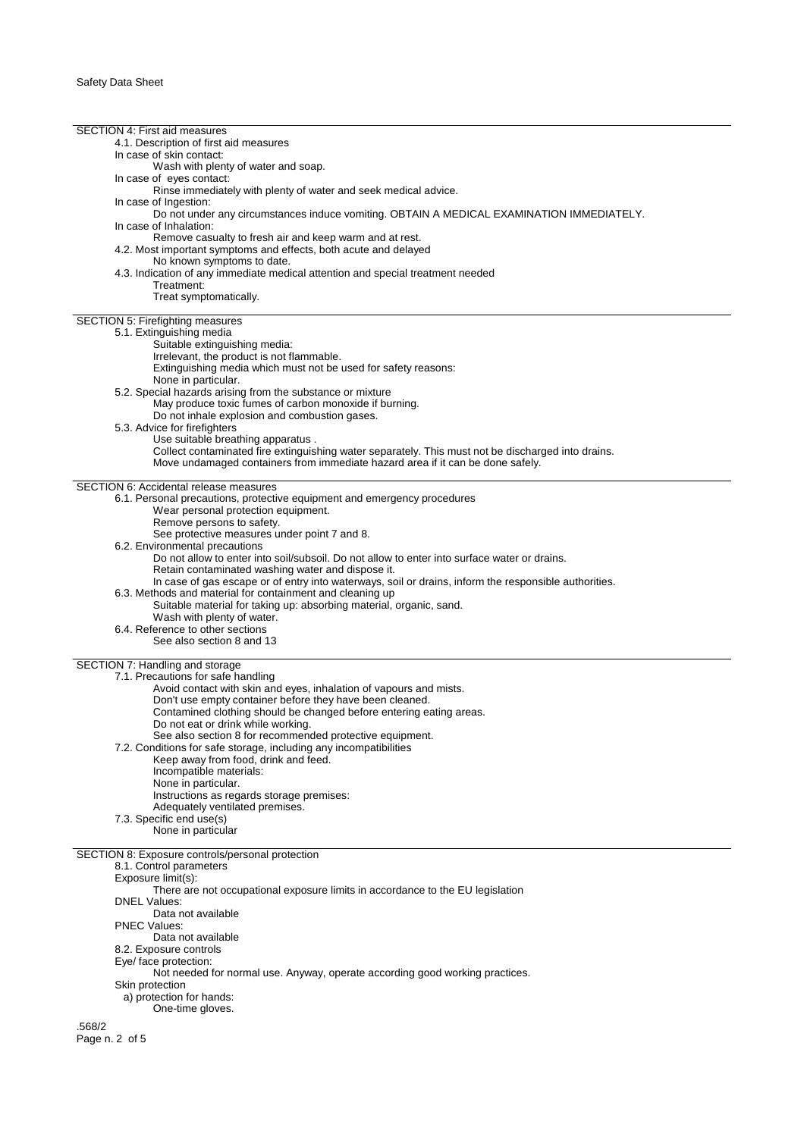SECTION 4: First aid measures 4.1. Description of first aid measures In case of skin contact: Wash with plenty of water and soap. In case of eyes contact: Rinse immediately with plenty of water and seek medical advice. In case of Ingestion: Do not under any circumstances induce vomiting. OBTAIN A MEDICAL EXAMINATION IMMEDIATELY. In case of Inhalation: Remove casualty to fresh air and keep warm and at rest. 4.2. Most important symptoms and effects, both acute and delayed No known symptoms to date. 4.3. Indication of any immediate medical attention and special treatment needed Treatment: Treat symptomatically. SECTION 5: Firefighting measures 5.1. Extinguishing media Suitable extinguishing media: Irrelevant, the product is not flammable. Extinguishing media which must not be used for safety reasons: None in particular. 5.2. Special hazards arising from the substance or mixture May produce toxic fumes of carbon monoxide if burning. Do not inhale explosion and combustion gases. 5.3. Advice for firefighters Use suitable breathing apparatus . Collect contaminated fire extinguishing water separately. This must not be discharged into drains. Move undamaged containers from immediate hazard area if it can be done safely. SECTION 6: Accidental release measures 6.1. Personal precautions, protective equipment and emergency procedures Wear personal protection equipment. Remove persons to safety. See protective measures under point 7 and 8. 6.2. Environmental precautions Do not allow to enter into soil/subsoil. Do not allow to enter into surface water or drains. Retain contaminated washing water and dispose it. In case of gas escape or of entry into waterways, soil or drains, inform the responsible authorities. 6.3. Methods and material for containment and cleaning up Suitable material for taking up: absorbing material, organic, sand. Wash with plenty of water. 6.4. Reference to other sections See also section 8 and 13 SECTION 7: Handling and storage 7.1. Precautions for safe handling Avoid contact with skin and eyes, inhalation of vapours and mists. Don't use empty container before they have been cleaned. Contamined clothing should be changed before entering eating areas. Do not eat or drink while working. See also section 8 for recommended protective equipment. 7.2. Conditions for safe storage, including any incompatibilities Keep away from food, drink and feed. Incompatible materials: None in particular. Instructions as regards storage premises: Adequately ventilated premises. 7.3. Specific end use(s) None in particular SECTION 8: Exposure controls/personal protection 8.1. Control parameters Exposure limit(s): There are not occupational exposure limits in accordance to the EU legislation DNEL Values: Data not available PNEC Values: Data not available 8.2. Exposure controls Eye/ face protection: Not needed for normal use. Anyway, operate according good working practices. Skin protection a) protection for hands: One-time gloves. .568/2 Page n. 2 of 5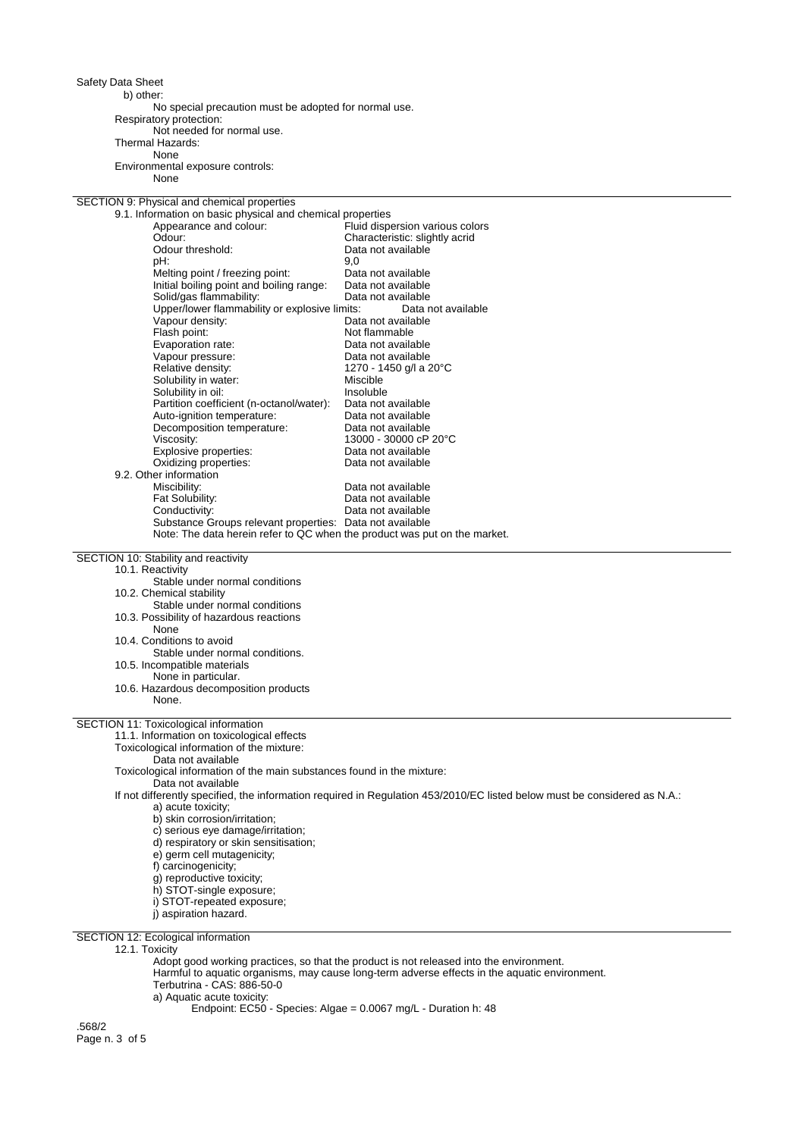Safety Data Sheet

b) other:

No special precaution must be adopted for normal use. Respiratory protection: Not needed for normal use. Thermal Hazards:

None Environmental exposure controls:

None

| SECTION 9: Physical and chemical properties                               |                                                                                                                           |
|---------------------------------------------------------------------------|---------------------------------------------------------------------------------------------------------------------------|
| 9.1. Information on basic physical and chemical properties                |                                                                                                                           |
| Appearance and colour:                                                    | Fluid dispersion various colors                                                                                           |
| Odour:                                                                    | Characteristic: slightly acrid                                                                                            |
| Odour threshold:                                                          | Data not available                                                                                                        |
| pH:                                                                       | 9,0                                                                                                                       |
| Melting point / freezing point:                                           | Data not available                                                                                                        |
| Initial boiling point and boiling range:                                  | Data not available                                                                                                        |
| Solid/gas flammability:<br>Upper/lower flammability or explosive limits:  | Data not available<br>Data not available                                                                                  |
| Vapour density:                                                           | Data not available                                                                                                        |
| Flash point:                                                              | Not flammable                                                                                                             |
| Evaporation rate:                                                         | Data not available                                                                                                        |
| Vapour pressure:                                                          | Data not available                                                                                                        |
| Relative density:                                                         | 1270 - 1450 g/l a 20°C                                                                                                    |
| Solubility in water:                                                      | Miscible                                                                                                                  |
| Solubility in oil:                                                        | Insoluble                                                                                                                 |
| Partition coefficient (n-octanol/water):                                  | Data not available                                                                                                        |
| Auto-ignition temperature:                                                | Data not available                                                                                                        |
| Decomposition temperature:                                                | Data not available                                                                                                        |
| Viscosity:                                                                | 13000 - 30000 cP 20°C                                                                                                     |
| Explosive properties:                                                     | Data not available                                                                                                        |
| Oxidizing properties:                                                     | Data not available                                                                                                        |
| 9.2. Other information                                                    |                                                                                                                           |
| Miscibility:                                                              | Data not available                                                                                                        |
| Fat Solubility:                                                           | Data not available                                                                                                        |
| Conductivity:                                                             | Data not available                                                                                                        |
| Substance Groups relevant properties: Data not available                  |                                                                                                                           |
| Note: The data herein refer to QC when the product was put on the market. |                                                                                                                           |
| SECTION 10: Stability and reactivity                                      |                                                                                                                           |
| 10.1. Reactivity                                                          |                                                                                                                           |
| Stable under normal conditions                                            |                                                                                                                           |
| 10.2. Chemical stability                                                  |                                                                                                                           |
| Stable under normal conditions                                            |                                                                                                                           |
| 10.3. Possibility of hazardous reactions                                  |                                                                                                                           |
| None                                                                      |                                                                                                                           |
| 10.4. Conditions to avoid                                                 |                                                                                                                           |
| Stable under normal conditions.                                           |                                                                                                                           |
| 10.5. Incompatible materials                                              |                                                                                                                           |
| None in particular.                                                       |                                                                                                                           |
| 10.6. Hazardous decomposition products                                    |                                                                                                                           |
| None.                                                                     |                                                                                                                           |
| SECTION 11: Toxicological information                                     |                                                                                                                           |
| 11.1. Information on toxicological effects                                |                                                                                                                           |
| Toxicological information of the mixture:                                 |                                                                                                                           |
| Data not available                                                        |                                                                                                                           |
| Toxicological information of the main substances found in the mixture:    |                                                                                                                           |
| Data not available                                                        |                                                                                                                           |
|                                                                           | If not differently specified, the information required in Regulation 453/2010/EC listed below must be considered as N.A.: |
| a) acute toxicity;                                                        |                                                                                                                           |
| b) skin corrosion/irritation;                                             |                                                                                                                           |
| c) serious eye damage/irritation;                                         |                                                                                                                           |
| d) respiratory or skin sensitisation;                                     |                                                                                                                           |
| e) germ cell mutagenicity;                                                |                                                                                                                           |
| f) carcinogenicity;                                                       |                                                                                                                           |
| g) reproductive toxicity;                                                 |                                                                                                                           |
| h) STOT-single exposure;                                                  |                                                                                                                           |
| i) STOT-repeated exposure;                                                |                                                                                                                           |
| i) aspiration hazard.                                                     |                                                                                                                           |
| SECTION 12: Ecological information                                        |                                                                                                                           |
| 12.1. Toxicity                                                            |                                                                                                                           |
|                                                                           | Adopt good working practices, so that the product is not released into the environment.                                   |
|                                                                           | Harmful to aquatic organisms, may cause long-term adverse effects in the aquatic environment.                             |
| Terbutrina - CAS: 886-50-0                                                |                                                                                                                           |

a) Aquatic acute toxicity:

Endpoint: EC50 - Species: Algae = 0.0067 mg/L - Duration h: 48

.568/2 Page n. 3 of 5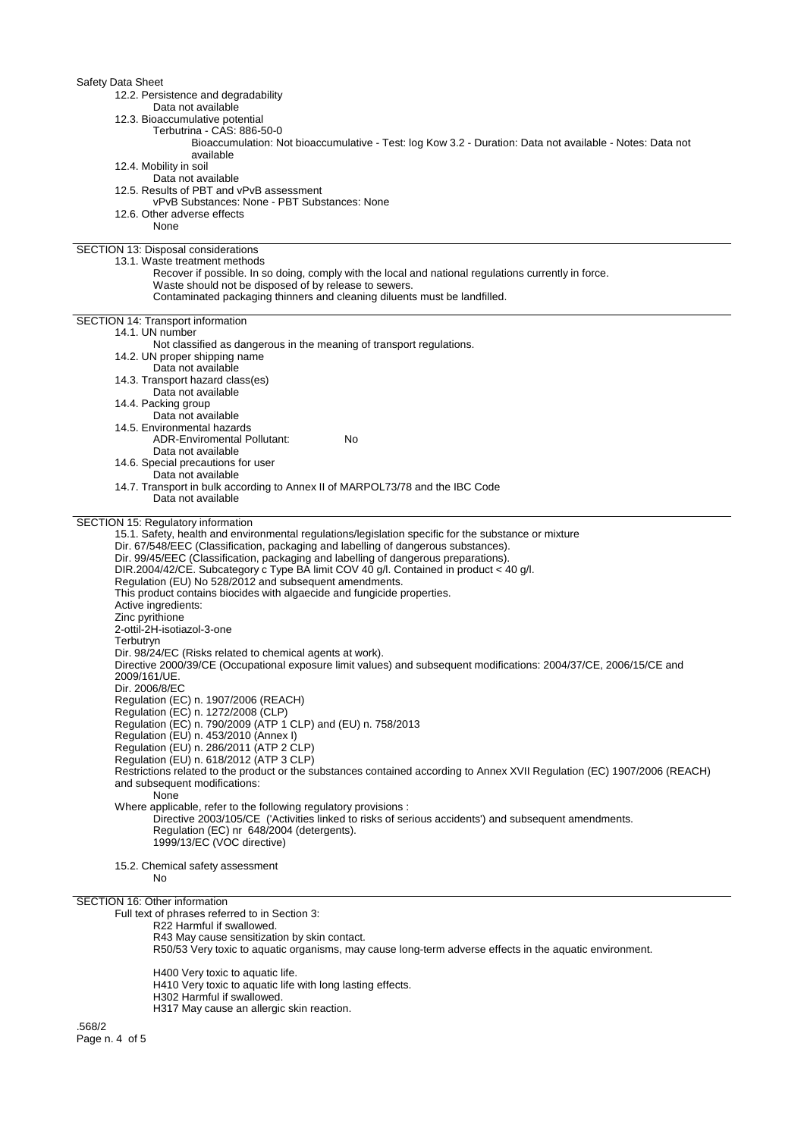| 12.2. Persistence and degradability<br>Data not available                                                                                                                |
|--------------------------------------------------------------------------------------------------------------------------------------------------------------------------|
| 12.3. Bioaccumulative potential                                                                                                                                          |
| Terbutrina - CAS: 886-50-0<br>Bioaccumulation: Not bioaccumulative - Test: log Kow 3.2 - Duration: Data not available - Notes: Data not                                  |
| available<br>12.4. Mobility in soil                                                                                                                                      |
| Data not available                                                                                                                                                       |
| 12.5. Results of PBT and vPvB assessment                                                                                                                                 |
| vPvB Substances: None - PBT Substances: None                                                                                                                             |
| 12.6. Other adverse effects<br>None                                                                                                                                      |
| SECTION 13: Disposal considerations                                                                                                                                      |
| 13.1. Waste treatment methods<br>Recover if possible. In so doing, comply with the local and national regulations currently in force.                                    |
| Waste should not be disposed of by release to sewers.<br>Contaminated packaging thinners and cleaning diluents must be landfilled.                                       |
|                                                                                                                                                                          |
| SECTION 14: Transport information<br>14.1. UN number                                                                                                                     |
| Not classified as dangerous in the meaning of transport regulations.                                                                                                     |
| 14.2. UN proper shipping name                                                                                                                                            |
| Data not available<br>14.3. Transport hazard class(es)                                                                                                                   |
| Data not available                                                                                                                                                       |
| 14.4. Packing group                                                                                                                                                      |
| Data not available<br>14.5. Environmental hazards                                                                                                                        |
| <b>ADR-Enviromental Pollutant:</b><br>No                                                                                                                                 |
| Data not available                                                                                                                                                       |
| 14.6. Special precautions for user                                                                                                                                       |
| Data not available<br>14.7. Transport in bulk according to Annex II of MARPOL73/78 and the IBC Code                                                                      |
| Data not available                                                                                                                                                       |
| <b>SECTION 15: Regulatory information</b>                                                                                                                                |
| 15.1. Safety, health and environmental regulations/legislation specific for the substance or mixture                                                                     |
| Dir. 67/548/EEC (Classification, packaging and labelling of dangerous substances).                                                                                       |
| Dir. 99/45/EEC (Classification, packaging and labelling of dangerous preparations).                                                                                      |
| DIR.2004/42/CE. Subcategory c Type BA limit COV 40 g/l. Contained in product < 40 g/l.<br>Regulation (EU) No 528/2012 and subsequent amendments.                         |
| This product contains biocides with algaecide and fungicide properties.                                                                                                  |
| Active ingredients:                                                                                                                                                      |
| Zinc pyrithione                                                                                                                                                          |
| 2-ottil-2H-isotiazol-3-one<br>Terbutryn                                                                                                                                  |
| Dir. 98/24/EC (Risks related to chemical agents at work).                                                                                                                |
| Directive 2000/39/CE (Occupational exposure limit values) and subsequent modifications: 2004/37/CE, 2006/15/CE and                                                       |
| 2009/161/UE.                                                                                                                                                             |
| Dir. 2006/8/EC<br>Regulation (EC) n. 1907/2006 (REACH)                                                                                                                   |
| Regulation (EC) n. 1272/2008 (CLP)                                                                                                                                       |
| Regulation (EC) n. 790/2009 (ATP 1 CLP) and (EU) n. 758/2013                                                                                                             |
| Regulation (EU) n. 453/2010 (Annex I)<br>Regulation (EU) n. 286/2011 (ATP 2 CLP)                                                                                         |
| Regulation (EU) n. 618/2012 (ATP 3 CLP)                                                                                                                                  |
| Restrictions related to the product or the substances contained according to Annex XVII Regulation (EC) 1907/2006 (REACH)                                                |
| and subsequent modifications:                                                                                                                                            |
| None                                                                                                                                                                     |
|                                                                                                                                                                          |
| Where applicable, refer to the following regulatory provisions :<br>Directive 2003/105/CE ('Activities linked to risks of serious accidents') and subsequent amendments. |
| Regulation (EC) nr 648/2004 (detergents).                                                                                                                                |
| 1999/13/EC (VOC directive)                                                                                                                                               |
| 15.2. Chemical safety assessment<br>No                                                                                                                                   |
|                                                                                                                                                                          |
| <b>SECTION 16: Other information</b>                                                                                                                                     |
| Full text of phrases referred to in Section 3:<br>R22 Harmful if swallowed.                                                                                              |
| R43 May cause sensitization by skin contact.                                                                                                                             |
| R50/53 Very toxic to aquatic organisms, may cause long-term adverse effects in the aquatic environment.                                                                  |
| H400 Very toxic to aquatic life.                                                                                                                                         |
| H410 Very toxic to aquatic life with long lasting effects.                                                                                                               |
| H302 Harmful if swallowed.<br>H317 May cause an allergic skin reaction.                                                                                                  |